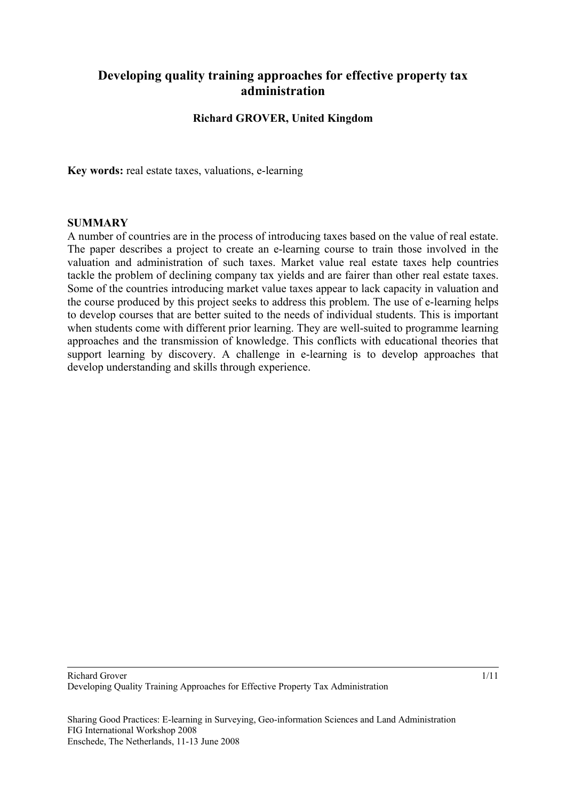# **Developing quality training approaches for effective property tax administration**

### **Richard GROVER, United Kingdom**

**Key words:** real estate taxes, valuations, e-learning

#### **SUMMARY**

A number of countries are in the process of introducing taxes based on the value of real estate. The paper describes a project to create an e-learning course to train those involved in the valuation and administration of such taxes. Market value real estate taxes help countries tackle the problem of declining company tax yields and are fairer than other real estate taxes. Some of the countries introducing market value taxes appear to lack capacity in valuation and the course produced by this project seeks to address this problem. The use of e-learning helps to develop courses that are better suited to the needs of individual students. This is important when students come with different prior learning. They are well-suited to programme learning approaches and the transmission of knowledge. This conflicts with educational theories that support learning by discovery. A challenge in e-learning is to develop approaches that develop understanding and skills through experience.

Sharing Good Practices: E-learning in Surveying, Geo-information Sciences and Land Administration FIG International Workshop 2008 Enschede, The Netherlands, 11-13 June 2008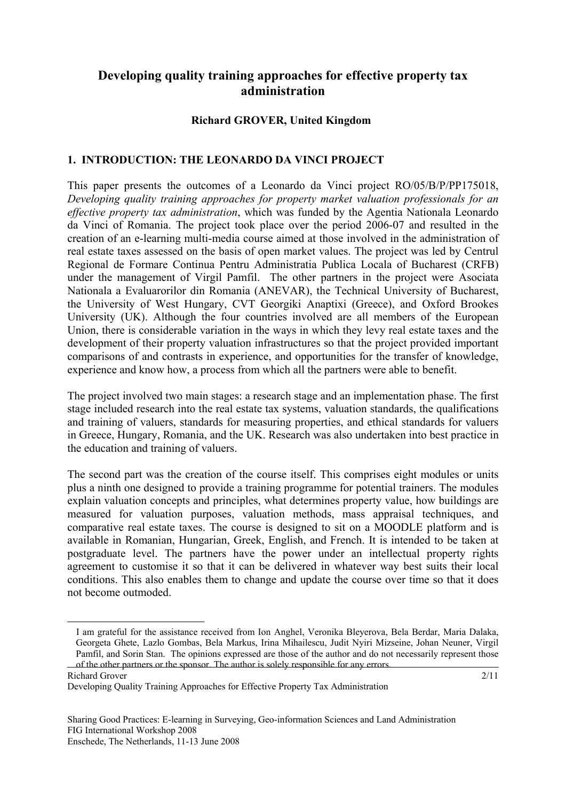# **Developing quality training approaches for effective property tax administration**

### **Richard GROVER, United Kingdom[1](#page-1-0)**

### **1. INTRODUCTION: THE LEONARDO DA VINCI PROJECT**

This paper presents the outcomes of a Leonardo da Vinci project RO/05/B/P/PP175018, *Developing quality training approaches for property market valuation professionals for an effective property tax administration*, which was funded by the Agentia Nationala Leonardo da Vinci of Romania. The project took place over the period 2006-07 and resulted in the creation of an e-learning multi-media course aimed at those involved in the administration of real estate taxes assessed on the basis of open market values. The project was led by Centrul Regional de Formare Continua Pentru Administratia Publica Locala of Bucharest (CRFB) under the management of Virgil Pamfil. The other partners in the project were Asociata Nationala a Evaluarorilor din Romania (ANEVAR), the Technical University of Bucharest, the University of West Hungary, CVT Georgiki Anaptixi (Greece), and Oxford Brookes University (UK). Although the four countries involved are all members of the European Union, there is considerable variation in the ways in which they levy real estate taxes and the development of their property valuation infrastructures so that the project provided important comparisons of and contrasts in experience, and opportunities for the transfer of knowledge, experience and know how, a process from which all the partners were able to benefit.

The project involved two main stages: a research stage and an implementation phase. The first stage included research into the real estate tax systems, valuation standards, the qualifications and training of valuers, standards for measuring properties, and ethical standards for valuers in Greece, Hungary, Romania, and the UK. Research was also undertaken into best practice in the education and training of valuers.

The second part was the creation of the course itself. This comprises eight modules or units plus a ninth one designed to provide a training programme for potential trainers. The modules explain valuation concepts and principles, what determines property value, how buildings are measured for valuation purposes, valuation methods, mass appraisal techniques, and comparative real estate taxes. The course is designed to sit on a MOODLE platform and is available in Romanian, Hungarian, Greek, English, and French. It is intended to be taken at postgraduate level. The partners have the power under an intellectual property rights agreement to customise it so that it can be delivered in whatever way best suits their local conditions. This also enables them to change and update the course over time so that it does not become outmoded.

Richard Grover of the other partners or the sponsor. The author is solely responsible for any errors.

<span id="page-1-0"></span>-

<sup>1</sup> .I am grateful for the assistance received from Ion Anghel, Veronika Bleyerova, Bela Berdar, Maria Dalaka, Georgeta Ghete, Lazlo Gombas, Bela Markus, Irina Mihailescu, Judit Nyiri Mizseine, Johan Neuner, Virgil Pamfil, and Sorin Stan. The opinions expressed are those of the author and do not necessarily represent those

<sup>2/11</sup>

Developing Quality Training Approaches for Effective Property Tax Administration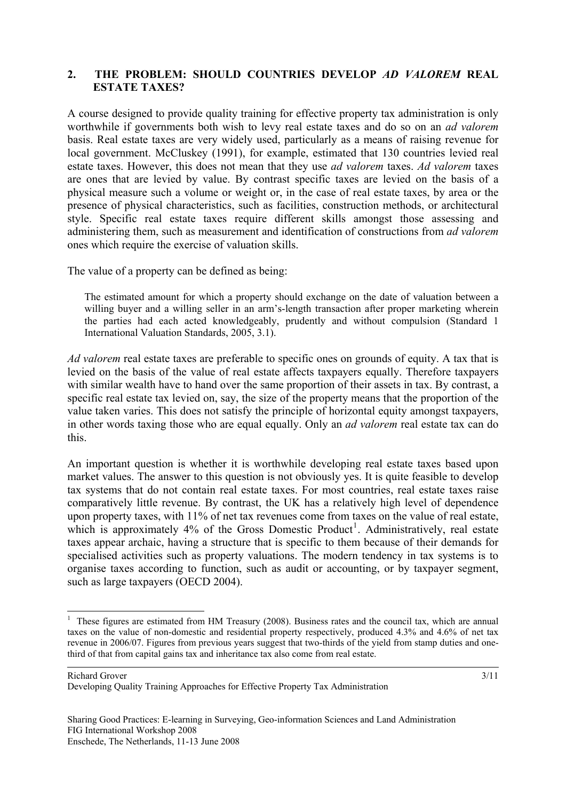### **2. THE PROBLEM: SHOULD COUNTRIES DEVELOP** *AD VALOREM* **REAL ESTATE TAXES?**

A course designed to provide quality training for effective property tax administration is only worthwhile if governments both wish to levy real estate taxes and do so on an *ad valorem* basis. Real estate taxes are very widely used, particularly as a means of raising revenue for local government. McCluskey (1991), for example, estimated that 130 countries levied real estate taxes. However, this does not mean that they use *ad valorem* taxes. *Ad valorem* taxes are ones that are levied by value. By contrast specific taxes are levied on the basis of a physical measure such a volume or weight or, in the case of real estate taxes, by area or the presence of physical characteristics, such as facilities, construction methods, or architectural style. Specific real estate taxes require different skills amongst those assessing and administering them, such as measurement and identification of constructions from *ad valorem* ones which require the exercise of valuation skills.

The value of a property can be defined as being:

The estimated amount for which a property should exchange on the date of valuation between a willing buyer and a willing seller in an arm's-length transaction after proper marketing wherein the parties had each acted knowledgeably, prudently and without compulsion (Standard 1 International Valuation Standards, 2005, 3.1).

*Ad valorem* real estate taxes are preferable to specific ones on grounds of equity. A tax that is levied on the basis of the value of real estate affects taxpayers equally. Therefore taxpayers with similar wealth have to hand over the same proportion of their assets in tax. By contrast, a specific real estate tax levied on, say, the size of the property means that the proportion of the value taken varies. This does not satisfy the principle of horizontal equity amongst taxpayers, in other words taxing those who are equal equally. Only an *ad valorem* real estate tax can do this.

An important question is whether it is worthwhile developing real estate taxes based upon market values. The answer to this question is not obviously yes. It is quite feasible to develop tax systems that do not contain real estate taxes. For most countries, real estate taxes raise comparatively little revenue. By contrast, the UK has a relatively high level of dependence upon property taxes, with 11% of net tax revenues come from taxes on the value of real estate, which is approximately  $4\%$  of the Gross Domestic Product<sup>[1](#page-2-0)</sup>. Administratively, real estate taxes appear archaic, having a structure that is specific to them because of their demands for specialised activities such as property valuations. The modern tendency in tax systems is to organise taxes according to function, such as audit or accounting, or by taxpayer segment, such as large taxpayers (OECD 2004).

3/11

<span id="page-2-0"></span><sup>&</sup>lt;sup>1</sup> These figures are estimated from HM Treasury (2008). Business rates and the council tax, which are annual taxes on the value of non-domestic and residential property respectively, produced 4.3% and 4.6% of net tax revenue in 2006/07. Figures from previous years suggest that two-thirds of the yield from stamp duties and onethird of that from capital gains tax and inheritance tax also come from real estate.

Developing Quality Training Approaches for Effective Property Tax Administration

Sharing Good Practices: E-learning in Surveying, Geo-information Sciences and Land Administration FIG International Workshop 2008 Enschede, The Netherlands, 11-13 June 2008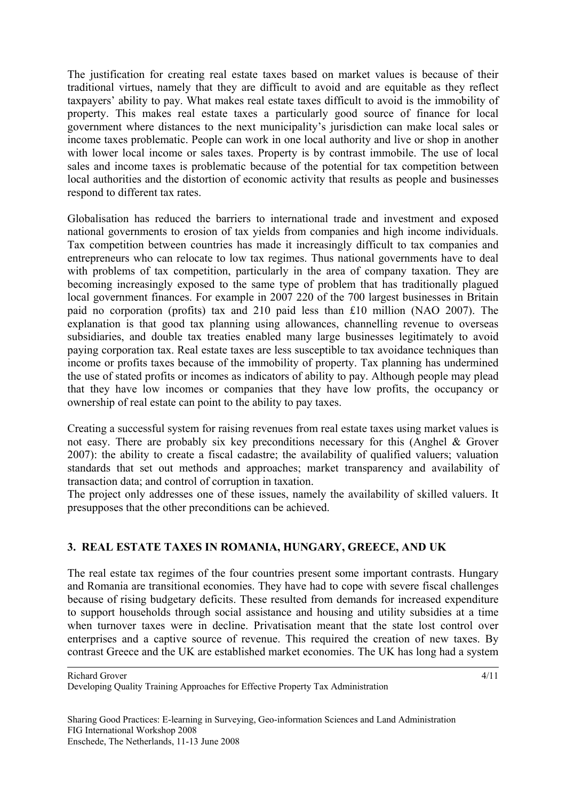The justification for creating real estate taxes based on market values is because of their traditional virtues, namely that they are difficult to avoid and are equitable as they reflect taxpayers' ability to pay. What makes real estate taxes difficult to avoid is the immobility of property. This makes real estate taxes a particularly good source of finance for local government where distances to the next municipality's jurisdiction can make local sales or income taxes problematic. People can work in one local authority and live or shop in another with lower local income or sales taxes. Property is by contrast immobile. The use of local sales and income taxes is problematic because of the potential for tax competition between local authorities and the distortion of economic activity that results as people and businesses respond to different tax rates.

Globalisation has reduced the barriers to international trade and investment and exposed national governments to erosion of tax yields from companies and high income individuals. Tax competition between countries has made it increasingly difficult to tax companies and entrepreneurs who can relocate to low tax regimes. Thus national governments have to deal with problems of tax competition, particularly in the area of company taxation. They are becoming increasingly exposed to the same type of problem that has traditionally plagued local government finances. For example in 2007 220 of the 700 largest businesses in Britain paid no corporation (profits) tax and 210 paid less than £10 million (NAO 2007). The explanation is that good tax planning using allowances, channelling revenue to overseas subsidiaries, and double tax treaties enabled many large businesses legitimately to avoid paying corporation tax. Real estate taxes are less susceptible to tax avoidance techniques than income or profits taxes because of the immobility of property. Tax planning has undermined the use of stated profits or incomes as indicators of ability to pay. Although people may plead that they have low incomes or companies that they have low profits, the occupancy or ownership of real estate can point to the ability to pay taxes.

Creating a successful system for raising revenues from real estate taxes using market values is not easy. There are probably six key preconditions necessary for this (Anghel & Grover 2007): the ability to create a fiscal cadastre; the availability of qualified valuers; valuation standards that set out methods and approaches; market transparency and availability of transaction data; and control of corruption in taxation.

The project only addresses one of these issues, namely the availability of skilled valuers. It presupposes that the other preconditions can be achieved.

## **3. REAL ESTATE TAXES IN ROMANIA, HUNGARY, GREECE, AND UK**

The real estate tax regimes of the four countries present some important contrasts. Hungary and Romania are transitional economies. They have had to cope with severe fiscal challenges because of rising budgetary deficits. These resulted from demands for increased expenditure to support households through social assistance and housing and utility subsidies at a time when turnover taxes were in decline. Privatisation meant that the state lost control over enterprises and a captive source of revenue. This required the creation of new taxes. By contrast Greece and the UK are established market economies. The UK has long had a system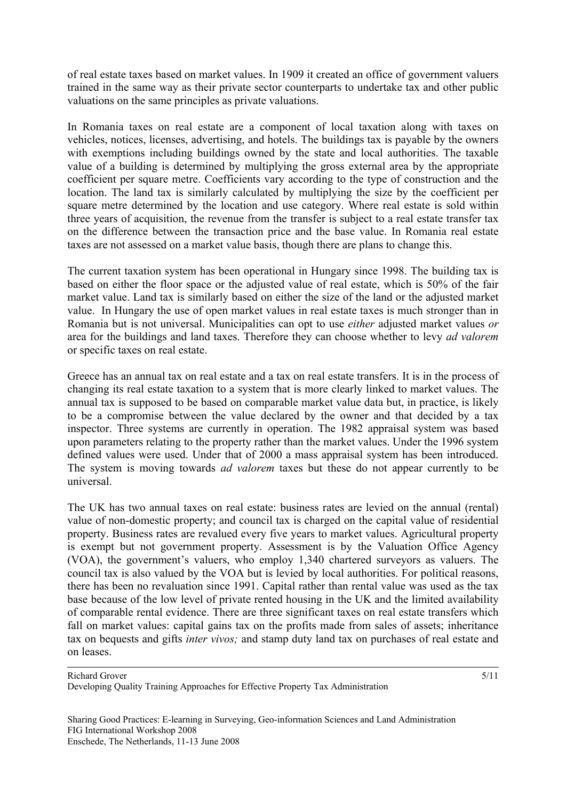of real estate taxes based on market values. In 1909 it created an office of government valuers trained in the same way as their private sector counterparts to undertake tax and other public valuations on the same principles as private valuations.

In Romania taxes on real estate are a component of local taxation along with taxes on vehicles, notices, licenses, advertising, and hotels. The buildings tax is payable by the owners with exemptions including buildings owned by the state and local authorities. The taxable value of a building is determined by multiplying the gross external area by the appropriate coefficient per square metre. Coefficients vary according to the type of construction and the location. The land tax is similarly calculated by multiplying the size by the coefficient per square metre determined by the location and use category. Where real estate is sold within three years of acquisition, the revenue from the transfer is subject to a real estate transfer tax on the difference between the transaction price and the base value. In Romania real estate taxes are not assessed on a market value basis, though there are plans to change this.

The current taxation system has been operational in Hungary since 1998. The building tax is based on either the floor space or the adjusted value of real estate, which is 50% of the fair market value. Land tax is similarly based on either the size of the land or the adjusted market value. In Hungary the use of open market values in real estate taxes is much stronger than in Romania but is not universal. Municipalities can opt to use *either* adjusted market values *or* area for the buildings and land taxes. Therefore they can choose whether to levy *ad valorem* or specific taxes on real estate.

Greece has an annual tax on real estate and a tax on real estate transfers. It is in the process of changing its real estate taxation to a system that is more clearly linked to market values. The annual tax is supposed to be based on comparable market value data but, in practice, is likely to be a compromise between the value declared by the owner and that decided by a tax inspector. Three systems are currently in operation. The 1982 appraisal system was based upon parameters relating to the property rather than the market values. Under the 1996 system defined values were used. Under that of 2000 a mass appraisal system has been introduced. The system is moving towards *ad valorem* taxes but these do not appear currently to be universal.

The UK has two annual taxes on real estate: business rates are levied on the annual (rental) value of non-domestic property; and council tax is charged on the capital value of residential property. Business rates are revalued every five years to market values. Agricultural property is exempt but not government property. Assessment is by the Valuation Office Agency (VOA), the government's valuers, who employ 1,340 chartered surveyors as valuers. The council tax is also valued by the VOA but is levied by local authorities. For political reasons, there has been no revaluation since 1991. Capital rather than rental value was used as the tax base because of the low level of private rented housing in the UK and the limited availability of comparable rental evidence. There are three significant taxes on real estate transfers which fall on market values: capital gains tax on the profits made from sales of assets; inheritance tax on bequests and gifts *inter vivos;* and stamp duty land tax on purchases of real estate and on leases.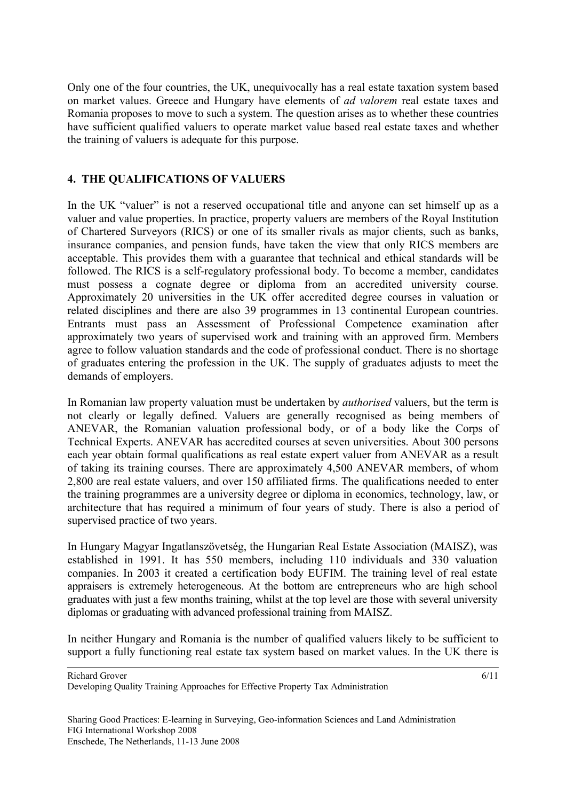Only one of the four countries, the UK, unequivocally has a real estate taxation system based on market values. Greece and Hungary have elements of *ad valorem* real estate taxes and Romania proposes to move to such a system. The question arises as to whether these countries have sufficient qualified valuers to operate market value based real estate taxes and whether the training of valuers is adequate for this purpose.

## **4. THE QUALIFICATIONS OF VALUERS**

In the UK "valuer" is not a reserved occupational title and anyone can set himself up as a valuer and value properties. In practice, property valuers are members of the Royal Institution of Chartered Surveyors (RICS) or one of its smaller rivals as major clients, such as banks, insurance companies, and pension funds, have taken the view that only RICS members are acceptable. This provides them with a guarantee that technical and ethical standards will be followed. The RICS is a self-regulatory professional body. To become a member, candidates must possess a cognate degree or diploma from an accredited university course. Approximately 20 universities in the UK offer accredited degree courses in valuation or related disciplines and there are also 39 programmes in 13 continental European countries. Entrants must pass an Assessment of Professional Competence examination after approximately two years of supervised work and training with an approved firm. Members agree to follow valuation standards and the code of professional conduct. There is no shortage of graduates entering the profession in the UK. The supply of graduates adjusts to meet the demands of employers.

In Romanian law property valuation must be undertaken by *authorised* valuers, but the term is not clearly or legally defined. Valuers are generally recognised as being members of ANEVAR, the Romanian valuation professional body, or of a body like the Corps of Technical Experts. ANEVAR has accredited courses at seven universities. About 300 persons each year obtain formal qualifications as real estate expert valuer from ANEVAR as a result of taking its training courses. There are approximately 4,500 ANEVAR members, of whom 2,800 are real estate valuers, and over 150 affiliated firms. The qualifications needed to enter the training programmes are a university degree or diploma in economics, technology, law, or architecture that has required a minimum of four years of study. There is also a period of supervised practice of two years.

In Hungary Magyar Ingatlanszövetség, the Hungarian Real Estate Association (MAISZ), was established in 1991. It has 550 members, including 110 individuals and 330 valuation companies. In 2003 it created a certification body EUFIM. The training level of real estate appraisers is extremely heterogeneous. At the bottom are entrepreneurs who are high school graduates with just a few months training, whilst at the top level are those with several university diplomas or graduating with advanced professional training from MAISZ.

In neither Hungary and Romania is the number of qualified valuers likely to be sufficient to support a fully functioning real estate tax system based on market values. In the UK there is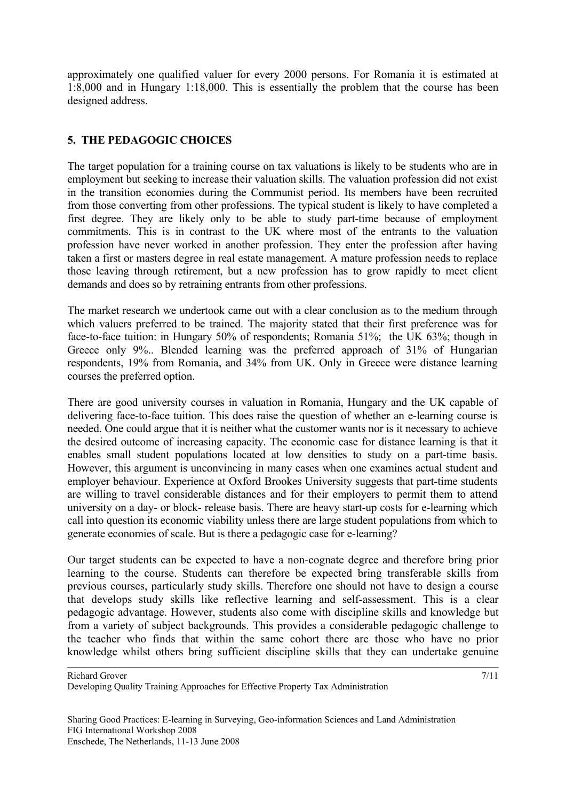approximately one qualified valuer for every 2000 persons. For Romania it is estimated at 1:8,000 and in Hungary 1:18,000. This is essentially the problem that the course has been designed address.

### **5. THE PEDAGOGIC CHOICES**

The target population for a training course on tax valuations is likely to be students who are in employment but seeking to increase their valuation skills. The valuation profession did not exist in the transition economies during the Communist period. Its members have been recruited from those converting from other professions. The typical student is likely to have completed a first degree. They are likely only to be able to study part-time because of employment commitments. This is in contrast to the UK where most of the entrants to the valuation profession have never worked in another profession. They enter the profession after having taken a first or masters degree in real estate management. A mature profession needs to replace those leaving through retirement, but a new profession has to grow rapidly to meet client demands and does so by retraining entrants from other professions.

The market research we undertook came out with a clear conclusion as to the medium through which valuers preferred to be trained. The majority stated that their first preference was for face-to-face tuition: in Hungary 50% of respondents; Romania 51%; the UK 63%; though in Greece only 9%.. Blended learning was the preferred approach of 31% of Hungarian respondents, 19% from Romania, and 34% from UK. Only in Greece were distance learning courses the preferred option.

There are good university courses in valuation in Romania, Hungary and the UK capable of delivering face-to-face tuition. This does raise the question of whether an e-learning course is needed. One could argue that it is neither what the customer wants nor is it necessary to achieve the desired outcome of increasing capacity. The economic case for distance learning is that it enables small student populations located at low densities to study on a part-time basis. However, this argument is unconvincing in many cases when one examines actual student and employer behaviour. Experience at Oxford Brookes University suggests that part-time students are willing to travel considerable distances and for their employers to permit them to attend university on a day- or block- release basis. There are heavy start-up costs for e-learning which call into question its economic viability unless there are large student populations from which to generate economies of scale. But is there a pedagogic case for e-learning?

Our target students can be expected to have a non-cognate degree and therefore bring prior learning to the course. Students can therefore be expected bring transferable skills from previous courses, particularly study skills. Therefore one should not have to design a course that develops study skills like reflective learning and self-assessment. This is a clear pedagogic advantage. However, students also come with discipline skills and knowledge but from a variety of subject backgrounds. This provides a considerable pedagogic challenge to the teacher who finds that within the same cohort there are those who have no prior knowledge whilst others bring sufficient discipline skills that they can undertake genuine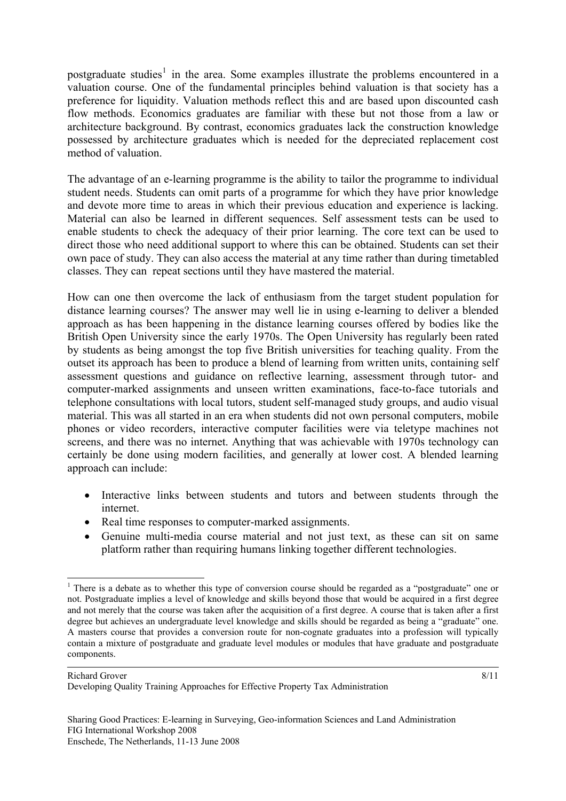postgraduate studies<sup>[1](#page-7-0)</sup> in the area. Some examples illustrate the problems encountered in a valuation course. One of the fundamental principles behind valuation is that society has a preference for liquidity. Valuation methods reflect this and are based upon discounted cash flow methods. Economics graduates are familiar with these but not those from a law or architecture background. By contrast, economics graduates lack the construction knowledge possessed by architecture graduates which is needed for the depreciated replacement cost method of valuation.

The advantage of an e-learning programme is the ability to tailor the programme to individual student needs. Students can omit parts of a programme for which they have prior knowledge and devote more time to areas in which their previous education and experience is lacking. Material can also be learned in different sequences. Self assessment tests can be used to enable students to check the adequacy of their prior learning. The core text can be used to direct those who need additional support to where this can be obtained. Students can set their own pace of study. They can also access the material at any time rather than during timetabled classes. They can repeat sections until they have mastered the material.

How can one then overcome the lack of enthusiasm from the target student population for distance learning courses? The answer may well lie in using e-learning to deliver a blended approach as has been happening in the distance learning courses offered by bodies like the British Open University since the early 1970s. The Open University has regularly been rated by students as being amongst the top five British universities for teaching quality. From the outset its approach has been to produce a blend of learning from written units, containing self assessment questions and guidance on reflective learning, assessment through tutor- and computer-marked assignments and unseen written examinations, face-to-face tutorials and telephone consultations with local tutors, student self-managed study groups, and audio visual material. This was all started in an era when students did not own personal computers, mobile phones or video recorders, interactive computer facilities were via teletype machines not screens, and there was no internet. Anything that was achievable with 1970s technology can certainly be done using modern facilities, and generally at lower cost. A blended learning approach can include:

- Interactive links between students and tutors and between students through the internet.
- Real time responses to computer-marked assignments.
- Genuine multi-media course material and not just text, as these can sit on same platform rather than requiring humans linking together different technologies.

Developing Quality Training Approaches for Effective Property Tax Administration

<span id="page-7-0"></span><sup>1</sup> <sup>1</sup> There is a debate as to whether this type of conversion course should be regarded as a "postgraduate" one or not. Postgraduate implies a level of knowledge and skills beyond those that would be acquired in a first degree and not merely that the course was taken after the acquisition of a first degree. A course that is taken after a first degree but achieves an undergraduate level knowledge and skills should be regarded as being a "graduate" one. A masters course that provides a conversion route for non-cognate graduates into a profession will typically contain a mixture of postgraduate and graduate level modules or modules that have graduate and postgraduate components.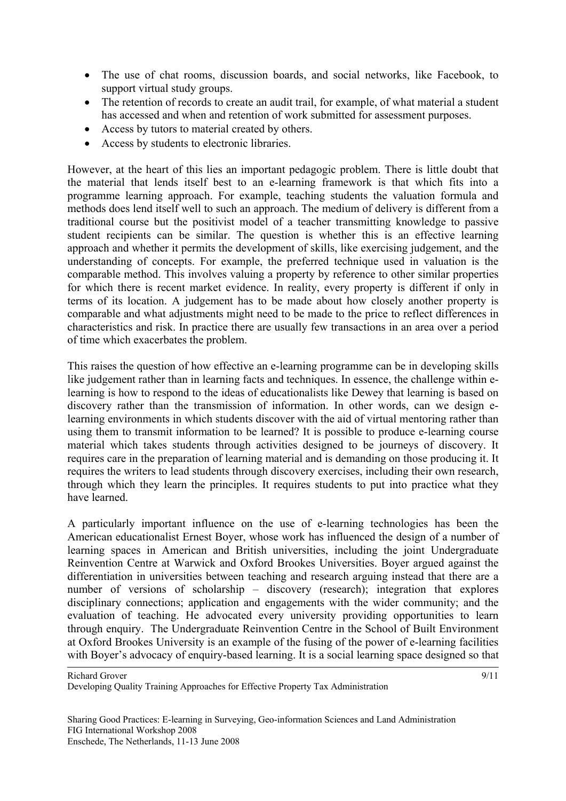- The use of chat rooms, discussion boards, and social networks, like Facebook, to support virtual study groups.
- The retention of records to create an audit trail, for example, of what material a student has accessed and when and retention of work submitted for assessment purposes.
- Access by tutors to material created by others.
- Access by students to electronic libraries.

However, at the heart of this lies an important pedagogic problem. There is little doubt that the material that lends itself best to an e-learning framework is that which fits into a programme learning approach. For example, teaching students the valuation formula and methods does lend itself well to such an approach. The medium of delivery is different from a traditional course but the positivist model of a teacher transmitting knowledge to passive student recipients can be similar. The question is whether this is an effective learning approach and whether it permits the development of skills, like exercising judgement, and the understanding of concepts. For example, the preferred technique used in valuation is the comparable method. This involves valuing a property by reference to other similar properties for which there is recent market evidence. In reality, every property is different if only in terms of its location. A judgement has to be made about how closely another property is comparable and what adjustments might need to be made to the price to reflect differences in characteristics and risk. In practice there are usually few transactions in an area over a period of time which exacerbates the problem.

This raises the question of how effective an e-learning programme can be in developing skills like judgement rather than in learning facts and techniques. In essence, the challenge within elearning is how to respond to the ideas of educationalists like Dewey that learning is based on discovery rather than the transmission of information. In other words, can we design elearning environments in which students discover with the aid of virtual mentoring rather than using them to transmit information to be learned? It is possible to produce e-learning course material which takes students through activities designed to be journeys of discovery. It requires care in the preparation of learning material and is demanding on those producing it. It requires the writers to lead students through discovery exercises, including their own research, through which they learn the principles. It requires students to put into practice what they have learned.

A particularly important influence on the use of e-learning technologies has been the American educationalist Ernest Boyer, whose work has influenced the design of a number of learning spaces in American and British universities, including the joint Undergraduate Reinvention Centre at Warwick and Oxford Brookes Universities. Boyer argued against the differentiation in universities between teaching and research arguing instead that there are a number of versions of scholarship – discovery (research); integration that explores disciplinary connections; application and engagements with the wider community; and the evaluation of teaching. He advocated every university providing opportunities to learn through enquiry. The Undergraduate Reinvention Centre in the School of Built Environment at Oxford Brookes University is an example of the fusing of the power of e-learning facilities with Boyer's advocacy of enquiry-based learning. It is a social learning space designed so that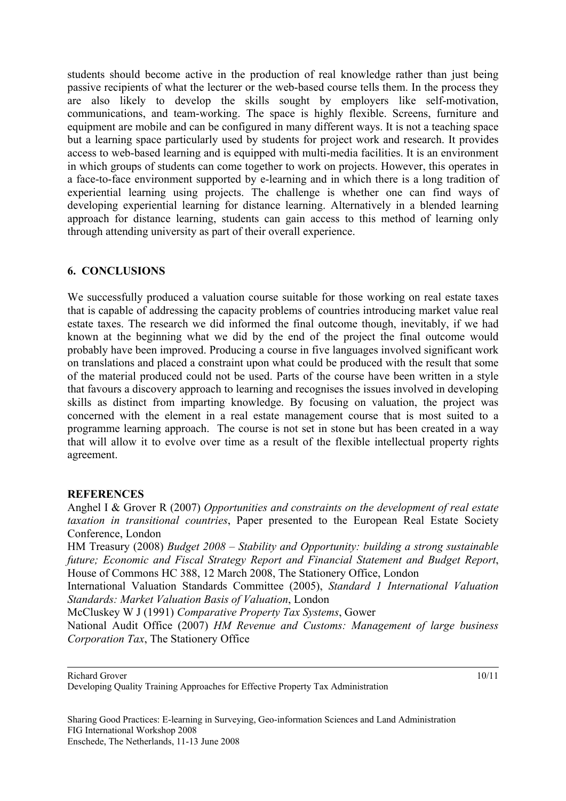students should become active in the production of real knowledge rather than just being passive recipients of what the lecturer or the web-based course tells them. In the process they are also likely to develop the skills sought by employers like self-motivation, communications, and team-working. The space is highly flexible. Screens, furniture and equipment are mobile and can be configured in many different ways. It is not a teaching space but a learning space particularly used by students for project work and research. It provides access to web-based learning and is equipped with multi-media facilities. It is an environment in which groups of students can come together to work on projects. However, this operates in a face-to-face environment supported by e-learning and in which there is a long tradition of experiential learning using projects. The challenge is whether one can find ways of developing experiential learning for distance learning. Alternatively in a blended learning approach for distance learning, students can gain access to this method of learning only through attending university as part of their overall experience.

### **6. CONCLUSIONS**

We successfully produced a valuation course suitable for those working on real estate taxes that is capable of addressing the capacity problems of countries introducing market value real estate taxes. The research we did informed the final outcome though, inevitably, if we had known at the beginning what we did by the end of the project the final outcome would probably have been improved. Producing a course in five languages involved significant work on translations and placed a constraint upon what could be produced with the result that some of the material produced could not be used. Parts of the course have been written in a style that favours a discovery approach to learning and recognises the issues involved in developing skills as distinct from imparting knowledge. By focusing on valuation, the project was concerned with the element in a real estate management course that is most suited to a programme learning approach. The course is not set in stone but has been created in a way that will allow it to evolve over time as a result of the flexible intellectual property rights agreement.

#### **REFERENCES**

Anghel I & Grover R (2007) *Opportunities and constraints on the development of real estate taxation in transitional countries*, Paper presented to the European Real Estate Society Conference, London

HM Treasury (2008) *Budget 2008 – Stability and Opportunity: building a strong sustainable future; Economic and Fiscal Strategy Report and Financial Statement and Budget Report*, House of Commons HC 388, 12 March 2008, The Stationery Office, London

International Valuation Standards Committee (2005), *Standard 1 International Valuation Standards: Market Valuation Basis of Valuation*, London

McCluskey W J (1991) *Comparative Property Tax Systems*, Gower

National Audit Office (2007) *HM Revenue and Customs: Management of large business Corporation Tax*, The Stationery Office

10/11

Sharing Good Practices: E-learning in Surveying, Geo-information Sciences and Land Administration FIG International Workshop 2008 Enschede, The Netherlands, 11-13 June 2008

Richard Grover

Developing Quality Training Approaches for Effective Property Tax Administration